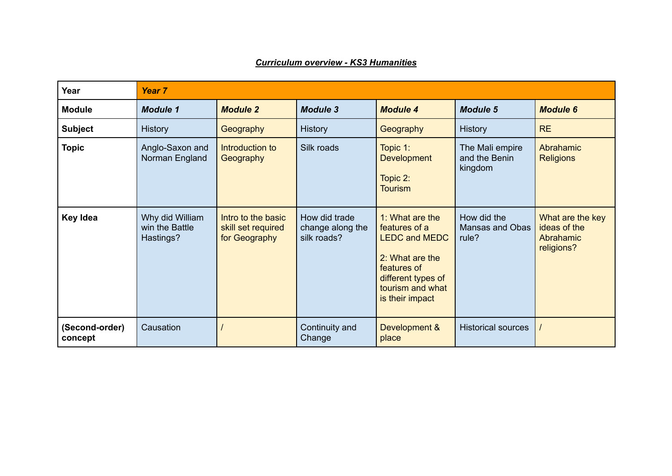| Year                      | Year <sub>7</sub>                              |                                                           |                                                  |                                                                                                                                                         |                                                |                                                             |  |
|---------------------------|------------------------------------------------|-----------------------------------------------------------|--------------------------------------------------|---------------------------------------------------------------------------------------------------------------------------------------------------------|------------------------------------------------|-------------------------------------------------------------|--|
| <b>Module</b>             | <b>Module 1</b>                                | <b>Module 2</b>                                           | <b>Module 3</b>                                  | <b>Module 4</b>                                                                                                                                         | <b>Module 5</b>                                | <b>Module 6</b>                                             |  |
| <b>Subject</b>            | <b>History</b>                                 | Geography                                                 | <b>History</b>                                   | Geography                                                                                                                                               | History                                        | <b>RE</b>                                                   |  |
| <b>Topic</b>              | Anglo-Saxon and<br>Norman England              | Introduction to<br>Geography                              | Silk roads                                       | Topic 1:<br><b>Development</b><br>Topic 2:<br><b>Tourism</b>                                                                                            | The Mali empire<br>and the Benin<br>kingdom    | Abrahamic<br><b>Religions</b>                               |  |
| <b>Key Idea</b>           | Why did William<br>win the Battle<br>Hastings? | Intro to the basic<br>skill set required<br>for Geography | How did trade<br>change along the<br>silk roads? | 1: What are the<br>features of a<br><b>LEDC and MEDC</b><br>2: What are the<br>features of<br>different types of<br>tourism and what<br>is their impact | How did the<br><b>Mansas and Obas</b><br>rule? | What are the key<br>ideas of the<br>Abrahamic<br>religions? |  |
| (Second-order)<br>concept | Causation                                      |                                                           | Continuity and<br>Change                         | Development &<br>place                                                                                                                                  | <b>Historical sources</b>                      |                                                             |  |

## *Curriculum overview - KS3 Humanities*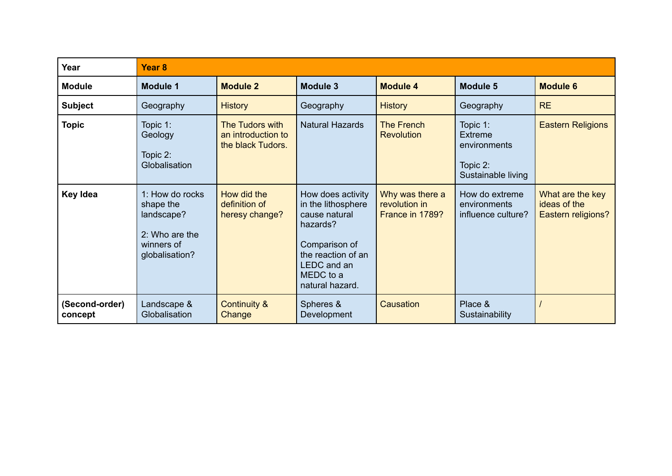| Year                      | Year <sub>8</sub>                                                                            |                                                            |                                                                                                                                                            |                                                     |                                                                              |                                                        |  |
|---------------------------|----------------------------------------------------------------------------------------------|------------------------------------------------------------|------------------------------------------------------------------------------------------------------------------------------------------------------------|-----------------------------------------------------|------------------------------------------------------------------------------|--------------------------------------------------------|--|
| <b>Module</b>             | <b>Module 1</b>                                                                              | <b>Module 2</b>                                            | <b>Module 3</b>                                                                                                                                            | <b>Module 4</b>                                     | <b>Module 5</b>                                                              | <b>Module 6</b>                                        |  |
| <b>Subject</b>            | Geography                                                                                    | <b>History</b>                                             | Geography                                                                                                                                                  | <b>History</b>                                      | Geography                                                                    | <b>RE</b>                                              |  |
| <b>Topic</b>              | Topic 1:<br>Geology<br>Topic 2:<br>Globalisation                                             | The Tudors with<br>an introduction to<br>the black Tudors. | <b>Natural Hazards</b>                                                                                                                                     | <b>The French</b><br><b>Revolution</b>              | Topic 1:<br><b>Extreme</b><br>environments<br>Topic 2:<br>Sustainable living | <b>Eastern Religions</b>                               |  |
| Key Idea                  | 1: How do rocks<br>shape the<br>landscape?<br>2: Who are the<br>winners of<br>globalisation? | How did the<br>definition of<br>heresy change?             | How does activity<br>in the lithosphere<br>cause natural<br>hazards?<br>Comparison of<br>the reaction of an<br>LEDC and an<br>MEDC to a<br>natural hazard. | Why was there a<br>revolution in<br>France in 1789? | How do extreme<br>environments<br>influence culture?                         | What are the key<br>ideas of the<br>Eastern religions? |  |
| (Second-order)<br>concept | Landscape &<br>Globalisation                                                                 | <b>Continuity &amp;</b><br>Change                          | Spheres &<br>Development                                                                                                                                   | Causation                                           | Place &<br>Sustainability                                                    |                                                        |  |